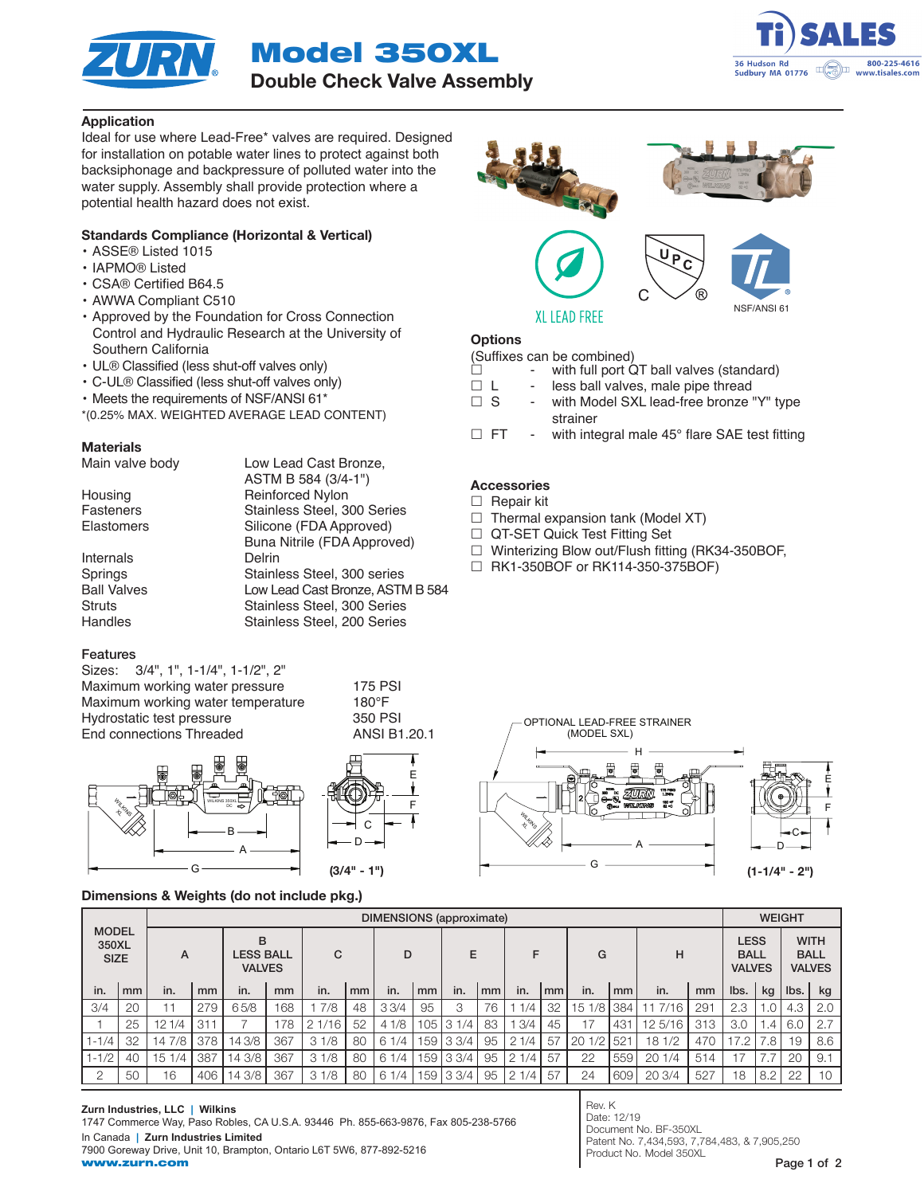



# Application

Ideal for use where Lead-Free\* valves are required. Designed for installation on potable water lines to protect against both backsiphonage and backpressure of polluted water into the water supply. Assembly shall provide protection where a potential health hazard does not exist.

# Standards Compliance (Horizontal & Vertical)

- ASSE® Listed 1015
- IAPMO® Listed
- CSA® Certified B64.5
- AWWA Compliant C510
- Approved by the Foundation for Cross Connection Control and Hydraulic Research at the University of Southern California
- UL® Classified (less shut-off valves only)
- C-UL® Classified (less shut-off valves only)
- Meets the requirements of NSF/ANSI 61\*
- \*(0.25% MAX. WEIGHTED AVERAGE LEAD CONTENT)

Low Lead Cast Bronze,

## **Materials**

| Main valve body |  |
|-----------------|--|
|                 |  |

|                    | ASTM B 584 (3/4-1")              |
|--------------------|----------------------------------|
| Housing            | Reinforced Nylon                 |
| <b>Fasteners</b>   | Stainless Steel, 300 Series      |
| <b>Elastomers</b>  | Silicone (FDA Approved)          |
|                    | Buna Nitrile (FDA Approved)      |
| Internals          | Delrin                           |
| Springs            | Stainless Steel, 300 series      |
| <b>Ball Valves</b> | Low Lead Cast Bronze, ASTM B 584 |
| <b>Struts</b>      | Stainless Steel, 300 Series      |
| Handles            | Stainless Steel, 200 Series      |
|                    |                                  |

# Features

| Sizes: 3/4", 1", 1-1/4", 1-1/2", 2" |               |
|-------------------------------------|---------------|
| Maximum working water pressure      | 175 P         |
| Maximum working water temperature   | $180^\circ F$ |
| Hydrostatic test pressure           | 350 P         |
| End connections Threaded            | ANSI          |

175 PSI 350 PSI **ANSI B1.20.1** 



# Dimensions & Weights (do not include pkg.)



# C NSF/ANSI 61

**XL LEAD FREE** 

# **Options**

- (Suffixes can be combined)<br> $\Box$  with full port C with full port QT ball valves (standard)
- $\Box$  L less ball valves, male pipe thread
- $\Box$  S with Model SXL lead-free bronze "Y" type strainer
- $\Box$  FT with integral male 45 $^{\circ}$  flare SAE test fitting

# Accessories

 $\Box$  Repair kit

- $\Box$  Thermal expansion tank (Model XT)
- □ QT-SET Quick Test Fitting Set
- □ Winterizing Blow out/Flush fitting (RK34-350BOF,
- RK1-350BOF or RK114-350-375BOF)



|                                      |    | <b>DIMENSIONS</b> (approximate) |     |                                        |     |       |               |      |     |           |    | <b>WEIGHT</b> |    |           |        |         |     |                                             |     |             |                              |
|--------------------------------------|----|---------------------------------|-----|----------------------------------------|-----|-------|---------------|------|-----|-----------|----|---------------|----|-----------|--------|---------|-----|---------------------------------------------|-----|-------------|------------------------------|
| <b>MODEL</b><br>350XL<br><b>SIZE</b> |    | A                               |     | B<br><b>LESS BALL</b><br><b>VALVES</b> |     | C     |               | D    |     | E         |    | F             |    | G         |        | н       |     | <b>LESS</b><br><b>BALL</b><br><b>VALVES</b> |     | <b>BALL</b> | <b>WITH</b><br><b>VALVES</b> |
| in.                                  | mm | in.                             | mm  | in.                                    | mm  | in.   | <sub>mm</sub> | in.  | mm  | in.       | mm | in.           | mm | in.       | mm     | in.     | mm  | lbs.                                        | kg  | lbs.        | kg                           |
| 3/4                                  | 20 |                                 | 279 | 65/8                                   | 168 | 7/8   | 48            | 33/4 | 95  | 3         | 76 | 1/4           | 32 | 5<br>1/8  | 384    | 7/16    | 291 | 2.3                                         |     | 4.3         | 2.0                          |
|                                      | 25 | 121/4                           | 311 |                                        | 78  | 1/16' | 52            | 41/8 | 105 | 31<br>1/4 | 83 | 3/4           | 45 | 17        | $.43+$ | 12 5/16 | 313 | 3.0                                         | 4.4 | 6.0         | 2.7                          |
| $1 - 1/4$                            | 32 | 14 7/8                          | 378 | 14 3/8                                 | 367 | 31/8  | 80            | 61/4 | 59  | 33/4      | 95 | 21/4          | 57 | 1/2<br>20 | $52 -$ | 18 1/2  | 470 |                                             | .8  | 19          | 8.6                          |
| $1 - 1/2$                            | 40 | 151/4                           | 387 | 14 3/8                                 | 367 | 31/8  | 80            | 61/4 | 59  | 33/4      | 95 | 1/4<br>2      | 57 | 22        | 559    | 201/4   | 514 |                                             |     | 20          | 9.1                          |
| $\Omega$                             | 50 | 16                              | 406 | 14 3/8                                 | 367 | 31/8  | 80            | 61/4 | 59  | 33/4      | 95 | 1/4<br>2      | 57 | 24        | 609    | 20 3/4  | 527 | 18                                          | 8.2 | 22          | 10                           |

Rev. K Date: 12/19 Document No. BF-350XL Patent No. 7,434,593, 7,784,483, & 7,905,250 Product No. Model 350XL